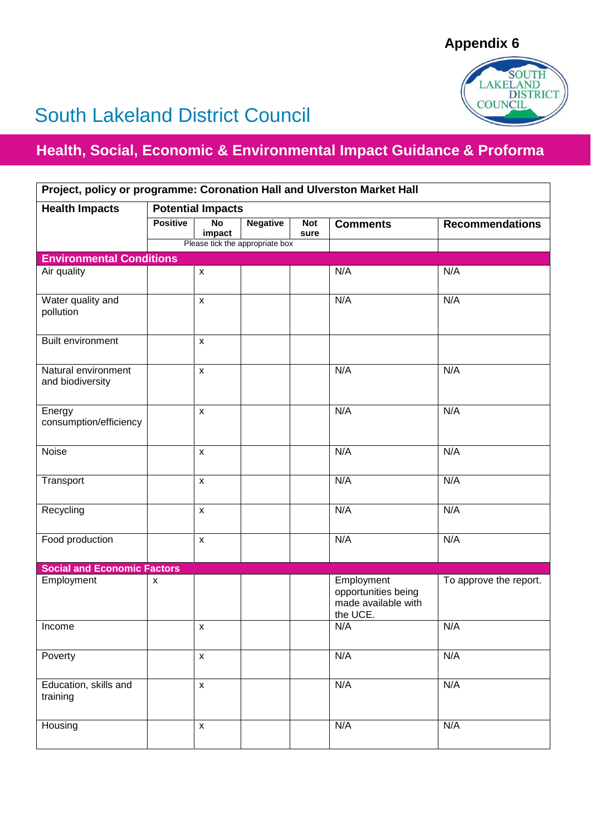

## South Lakeland District Council

## **Health, Social, Economic & Environmental Impact Guidance & Proforma**

| Project, policy or programme: Coronation Hall and Ulverston Market Hall |                          |                          |                                 |                    |                                                                      |                        |  |  |  |
|-------------------------------------------------------------------------|--------------------------|--------------------------|---------------------------------|--------------------|----------------------------------------------------------------------|------------------------|--|--|--|
| <b>Health Impacts</b>                                                   | <b>Potential Impacts</b> |                          |                                 |                    |                                                                      |                        |  |  |  |
|                                                                         | <b>Positive</b>          | $\overline{N}$<br>impact | <b>Negative</b>                 | <b>Not</b><br>sure | <b>Comments</b>                                                      | <b>Recommendations</b> |  |  |  |
|                                                                         |                          |                          | Please tick the appropriate box |                    |                                                                      |                        |  |  |  |
| <b>Environmental Conditions</b>                                         |                          |                          |                                 |                    |                                                                      |                        |  |  |  |
| Air quality                                                             |                          | $\mathsf{x}$             |                                 |                    | N/A                                                                  | N/A                    |  |  |  |
| Water quality and<br>pollution                                          |                          | $\pmb{\mathsf{X}}$       |                                 |                    | N/A                                                                  | N/A                    |  |  |  |
| <b>Built environment</b>                                                |                          | $\pmb{\mathsf{X}}$       |                                 |                    |                                                                      |                        |  |  |  |
| Natural environment<br>and biodiversity                                 |                          | $\pmb{\times}$           |                                 |                    | N/A                                                                  | N/A                    |  |  |  |
| Energy<br>consumption/efficiency                                        |                          | $\pmb{\mathsf{x}}$       |                                 |                    | N/A                                                                  | N/A                    |  |  |  |
| Noise                                                                   |                          | X                        |                                 |                    | N/A                                                                  | N/A                    |  |  |  |
| Transport                                                               |                          | X                        |                                 |                    | N/A                                                                  | N/A                    |  |  |  |
| Recycling                                                               |                          | $\pmb{\mathsf{x}}$       |                                 |                    | N/A                                                                  | N/A                    |  |  |  |
| Food production                                                         |                          | $\pmb{\times}$           |                                 |                    | N/A                                                                  | N/A                    |  |  |  |
| <b>Social and Economic Factors</b>                                      |                          |                          |                                 |                    |                                                                      |                        |  |  |  |
| Employment                                                              | x                        |                          |                                 |                    | Employment<br>opportunities being<br>made available with<br>the UCE. | To approve the report. |  |  |  |
| Income                                                                  |                          | $\pmb{\mathsf{x}}$       |                                 |                    | N/A                                                                  | N/A                    |  |  |  |
| Poverty                                                                 |                          | $\pmb{\mathsf{x}}$       |                                 |                    | N/A                                                                  | N/A                    |  |  |  |
| Education, skills and<br>training                                       |                          | $\pmb{\mathsf{x}}$       |                                 |                    | N/A                                                                  | N/A                    |  |  |  |
| Housing                                                                 |                          | $\pmb{\mathsf{X}}$       |                                 |                    | N/A                                                                  | N/A                    |  |  |  |